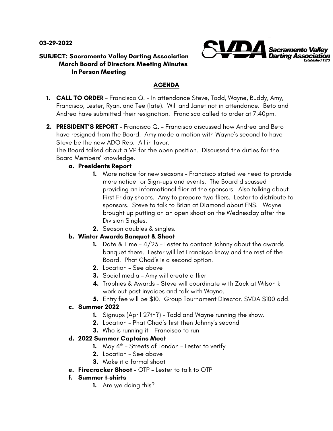**03-29-2022**



#### **SUBJECT: Sacramento Valley Darting Association March Board of Directors Meeting Minutes In Person Meeting**

# **AGENDA**

- **1. CALL TO ORDER**  Francisco Q. In attendance Steve, Todd, Wayne, Buddy, Amy, Francisco, Lester, Ryan, and Tee (late). Will and Janet not in attendance. Beto and Andrea have submitted their resignation. Francisco called to order at 7:40pm.
- **2. PRESIDENT'S REPORT**  Francisco Q. Francisco discussed how Andrea and Beto have resigned from the Board. Amy made a motion with Wayne's second to have Steve be the new ADO Rep. All in favor.

The Board talked about a VP for the open position. Discussed the duties for the Board Members' knowledge.

### **a. Presidents Report**

- **1.** More notice for new seasons Francisco stated we need to provide more notice for Sign-ups and events. The Board discussed providing an informational flier at the sponsors. Also talking about First Friday shoots. Amy to prepare two fliers. Lester to distribute to sponsors. Steve to talk to Brian at Diamond about FNS. Wayne brought up putting on an open shoot on the Wednesday after the Division Singles.
- **2.** Season doubles & singles.

## **b. Winter Awards Banquet & Shoot**

- **1.** Date & Time 4/23 Lester to contact Johnny about the awards banquet there. Lester will let Francisco know and the rest of the Board. Phat Chad's is a second option.
- **2.** Location See above
- **3.** Social media Amy will create a flier
- **4.** Trophies & Awards Steve will coordinate with Zack at Wilson k work out past invoices and talk with Wayne.
- **5.** Entry fee will be \$10. Group Tournament Director. SVDA \$100 add.

## **c. Summer 2022**

- **1.** Signups (April 27th?) Todd and Wayne running the show.
- **2.** Location Phat Chad's first then Johnny's second
- **3.** Who is running it Francisco to run

## **d. 2022 Summer Captains Meet**

- **1.** May  $4^{th}$  Streets of London Lester to verify
- **2.** Location See above
- **3.** Make it a formal shoot
- **e. Firecracker Shoot** OTP Lester to talk to OTP
- **f. Summer t-shirts**
	- **1.** Are we doing this?